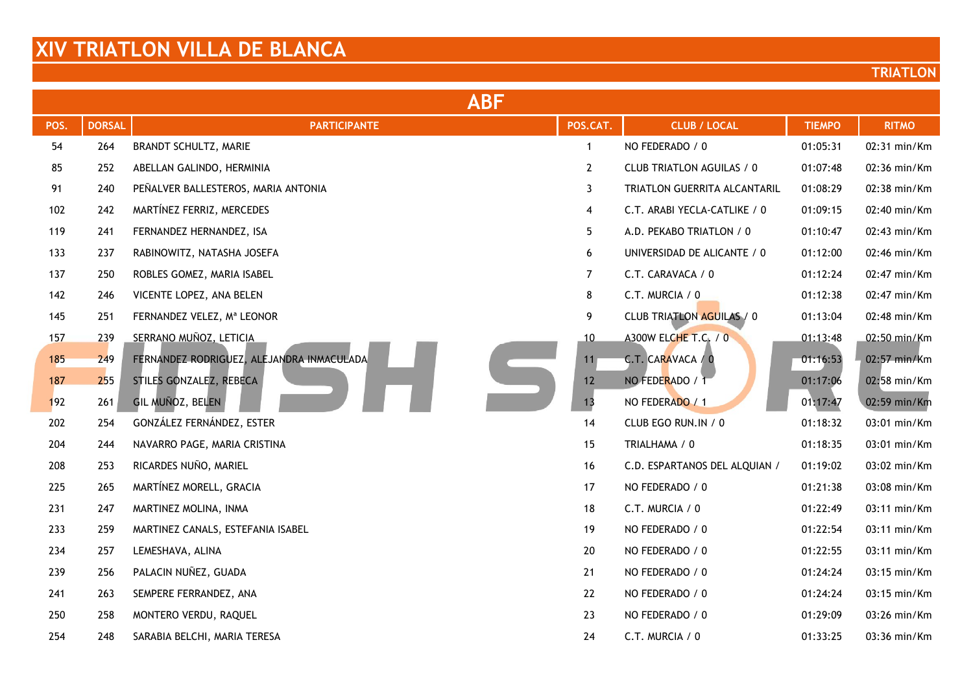|      | <b>ABF</b>    |                                           |                |                                  |               |              |  |  |
|------|---------------|-------------------------------------------|----------------|----------------------------------|---------------|--------------|--|--|
| POS. | <b>DORSAL</b> | <b>PARTICIPANTE</b>                       | POS.CAT.       | <b>CLUB / LOCAL</b>              | <b>TIEMPO</b> | <b>RITMO</b> |  |  |
| 54   | 264           | BRANDT SCHULTZ, MARIE                     | $\mathbf{1}$   | NO FEDERADO / 0                  | 01:05:31      | 02:31 min/Km |  |  |
| 85   | 252           | ABELLAN GALINDO, HERMINIA                 | $\overline{2}$ | <b>CLUB TRIATLON AGUILAS / 0</b> | 01:07:48      | 02:36 min/Km |  |  |
| 91   | 240           | PEÑALVER BALLESTEROS, MARIA ANTONIA       | 3              | TRIATLON GUERRITA ALCANTARIL     | 01:08:29      | 02:38 min/Km |  |  |
| 102  | 242           | MARTÍNEZ FERRIZ, MERCEDES                 | $\overline{4}$ | C.T. ARABI YECLA-CATLIKE / 0     | 01:09:15      | 02:40 min/Km |  |  |
| 119  | 241           | FERNANDEZ HERNANDEZ, ISA                  | 5              | A.D. PEKABO TRIATLON / 0         | 01:10:47      | 02:43 min/Km |  |  |
| 133  | 237           | RABINOWITZ, NATASHA JOSEFA                | 6              | UNIVERSIDAD DE ALICANTE / 0      | 01:12:00      | 02:46 min/Km |  |  |
| 137  | 250           | ROBLES GOMEZ, MARIA ISABEL                | $\overline{7}$ | C.T. CARAVACA / 0                | 01:12:24      | 02:47 min/Km |  |  |
| 142  | 246           | VICENTE LOPEZ, ANA BELEN                  | 8              | C.T. MURCIA / 0                  | 01:12:38      | 02:47 min/Km |  |  |
| 145  | 251           | FERNANDEZ VELEZ, Mª LEONOR                | 9              | <b>CLUB TRIATLON AGUILAS / 0</b> | 01:13:04      | 02:48 min/Km |  |  |
| 157  | 239           | SERRANO MUÑOZ, LETICIA                    | 10             | A300W ELCHE T.C. / 0             | 01:13:48      | 02:50 min/Km |  |  |
| 185  | 249           | FERNANDEZ RODRIGUEZ, ALEJANDRA INMACULADA | 11             | C.T. CARAVACA / 0                | 01:16:53      | 02:57 min/Km |  |  |
| 187  | 255           | STILES GONZALEZ, REBECA                   | 12             | NO FEDERADO / 1                  | 01:17:06      | 02:58 min/Km |  |  |
| 192  | 261           | GIL MUÑOZ, BELEN                          | 13             | NO FEDERADO / 1                  | 01:17:47      | 02:59 min/Km |  |  |
| 202  | 254           | GONZÁLEZ FERNÁNDEZ, ESTER                 | 14             | CLUB EGO RUN.IN / 0              | 01:18:32      | 03:01 min/Km |  |  |
| 204  | 244           | NAVARRO PAGE, MARIA CRISTINA              | 15             | TRIALHAMA / 0                    | 01:18:35      | 03:01 min/Km |  |  |
| 208  | 253           | RICARDES NUÑO, MARIEL                     | 16             | C.D. ESPARTANOS DEL ALQUIAN /    | 01:19:02      | 03:02 min/Km |  |  |
| 225  | 265           | MARTÍNEZ MORELL, GRACIA                   | 17             | NO FEDERADO / 0                  | 01:21:38      | 03:08 min/Km |  |  |
| 231  | 247           | MARTINEZ MOLINA, INMA                     | 18             | C.T. MURCIA / 0                  | 01:22:49      | 03:11 min/Km |  |  |
| 233  | 259           | MARTINEZ CANALS, ESTEFANIA ISABEL         | 19             | NO FEDERADO / 0                  | 01:22:54      | 03:11 min/Km |  |  |
| 234  | 257           | LEMESHAVA, ALINA                          | 20             | NO FEDERADO / 0                  | 01:22:55      | 03:11 min/Km |  |  |
| 239  | 256           | PALACIN NUÑEZ, GUADA                      | 21             | NO FEDERADO / 0                  | 01:24:24      | 03:15 min/Km |  |  |
| 241  | 263           | SEMPERE FERRANDEZ, ANA                    | 22             | NO FEDERADO / 0                  | 01:24:24      | 03:15 min/Km |  |  |
| 250  | 258           | MONTERO VERDU, RAQUEL                     | 23             | NO FEDERADO / 0                  | 01:29:09      | 03:26 min/Km |  |  |
| 254  | 248           | SARABIA BELCHI, MARIA TERESA              | 24             | C.T. MURCIA / 0                  | 01:33:25      | 03:36 min/Km |  |  |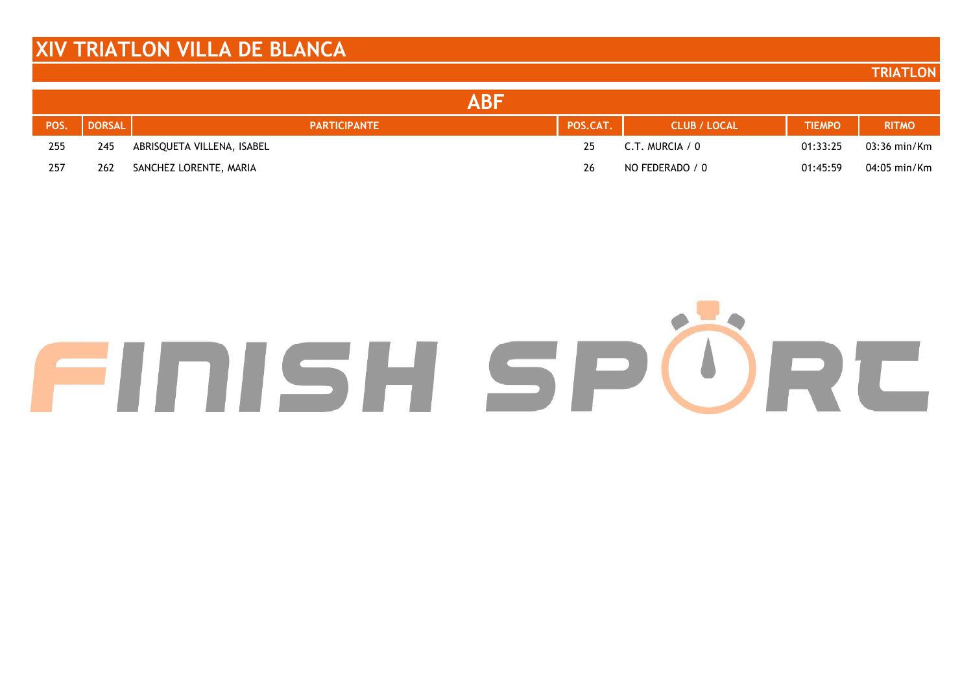#### **TRIATLON**

|      |               | ABF                        |          |                     |               |              |
|------|---------------|----------------------------|----------|---------------------|---------------|--------------|
| POS. | <b>DORSAL</b> | <b>PARTICIPANTE</b>        | POS.CAT. | <b>CLUB / LOCAL</b> | <b>TIEMPO</b> | <b>RITMO</b> |
| 255  | 245           | ABRISQUETA VILLENA, ISABEL | 25       | C.T. MURCIA / 0     | 01:33:25      | 03:36 min/Km |
| 257  | 262           | SANCHEZ LORENTE, MARIA     | 26       | NO FEDERADO / 0     | 01:45:59      | 04:05 min/Km |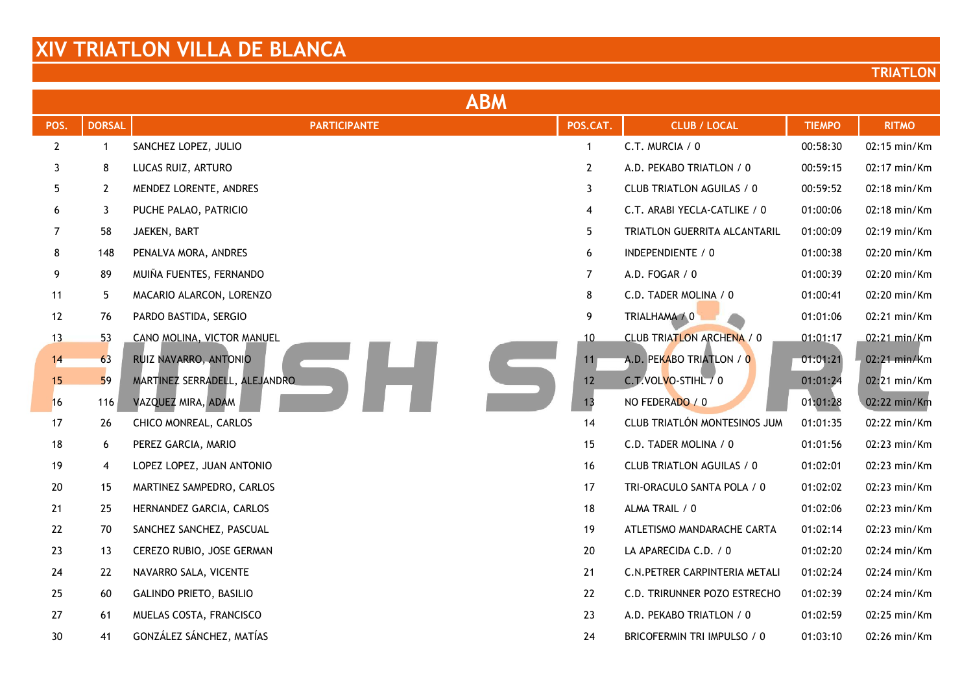| <b>ABM</b>     |               |                               |                   |                                  |               |              |  |
|----------------|---------------|-------------------------------|-------------------|----------------------------------|---------------|--------------|--|
| POS.           | <b>DORSAL</b> | <b>PARTICIPANTE</b>           | POS.CAT.          | <b>CLUB / LOCAL</b>              | <b>TIEMPO</b> | <b>RITMO</b> |  |
| $\mathbf{2}$   | $\mathbf{1}$  | SANCHEZ LOPEZ, JULIO          | $\mathbf{1}$      | C.T. MURCIA / 0                  | 00:58:30      | 02:15 min/Km |  |
| 3              | 8             | LUCAS RUIZ, ARTURO            | $\overline{2}$    | A.D. PEKABO TRIATLON / 0         | 00:59:15      | 02:17 min/Km |  |
| 5              | $\mathbf{2}$  | MENDEZ LORENTE, ANDRES        | 3                 | CLUB TRIATLON AGUILAS / 0        | 00:59:52      | 02:18 min/Km |  |
| 6              | 3             | PUCHE PALAO, PATRICIO         | 4                 | C.T. ARABI YECLA-CATLIKE / 0     | 01:00:06      | 02:18 min/Km |  |
| $\overline{7}$ | 58            | JAEKEN, BART                  | 5                 | TRIATLON GUERRITA ALCANTARIL     | 01:00:09      | 02:19 min/Km |  |
| 8              | 148           | PENALVA MORA, ANDRES          | 6                 | INDEPENDIENTE / 0                | 01:00:38      | 02:20 min/Km |  |
| 9              | 89            | MUIÑA FUENTES, FERNANDO       | $\overline{7}$    | A.D. FOGAR / 0                   | 01:00:39      | 02:20 min/Km |  |
| 11             | 5             | MACARIO ALARCON, LORENZO      | 8                 | C.D. TADER MOLINA / 0            | 01:00:41      | 02:20 min/Km |  |
| 12             | 76            | PARDO BASTIDA, SERGIO         | 9                 | TRIALHAMA / 0                    | 01:01:06      | 02:21 min/Km |  |
| 13             | 53            | CANO MOLINA, VICTOR MANUEL    | 10                | <b>CLUB TRIATLON ARCHENA / 0</b> | 01:01:17      | 02:21 min/Km |  |
| 14             | 63            | RUIZ NAVARRO, ANTONIO         | 11                | A.D. PEKABO TRIATLON / 0         | 01:01:21      | 02:21 min/Km |  |
| 15             | 59            | MARTINEZ SERRADELL, ALEJANDRO | $12 \overline{ }$ | C.T.VOLVO-STIHL / 0              | 01:01:24      | 02:21 min/Km |  |
| 16             | 116           | VAZQUEZ MIRA, ADAM            | 13                | NO FEDERADO / 0                  | 01:01:28      | 02:22 min/Km |  |
| 17             | 26            | CHICO MONREAL, CARLOS         | 14                | CLUB TRIATLÓN MONTESINOS JUM     | 01:01:35      | 02:22 min/Km |  |
| $18$           | 6             | PEREZ GARCIA, MARIO           | 15                | C.D. TADER MOLINA / 0            | 01:01:56      | 02:23 min/Km |  |
| 19             | 4             | LOPEZ LOPEZ, JUAN ANTONIO     | 16                | CLUB TRIATLON AGUILAS / 0        | 01:02:01      | 02:23 min/Km |  |
| 20             | 15            | MARTINEZ SAMPEDRO, CARLOS     | 17                | TRI-ORACULO SANTA POLA / 0       | 01:02:02      | 02:23 min/Km |  |
| 21             | 25            | HERNANDEZ GARCIA, CARLOS      | 18                | ALMA TRAIL / 0                   | 01:02:06      | 02:23 min/Km |  |
| 22             | 70            | SANCHEZ SANCHEZ, PASCUAL      | 19                | ATLETISMO MANDARACHE CARTA       | 01:02:14      | 02:23 min/Km |  |
| 23             | 13            | CEREZO RUBIO, JOSE GERMAN     | 20                | LA APARECIDA C.D. / 0            | 01:02:20      | 02:24 min/Km |  |
| 24             | 22            | NAVARRO SALA, VICENTE         | 21                | C.N. PETRER CARPINTERIA METALI   | 01:02:24      | 02:24 min/Km |  |
| 25             | 60            | GALINDO PRIETO, BASILIO       | 22                | C.D. TRIRUNNER POZO ESTRECHO     | 01:02:39      | 02:24 min/Km |  |
| 27             | 61            | MUELAS COSTA, FRANCISCO       | 23                | A.D. PEKABO TRIATLON / 0         | 01:02:59      | 02:25 min/Km |  |
| 30             | 41            | GONZÁLEZ SÁNCHEZ, MATÍAS      | 24                | BRICOFERMIN TRI IMPULSO / 0      | 01:03:10      | 02:26 min/Km |  |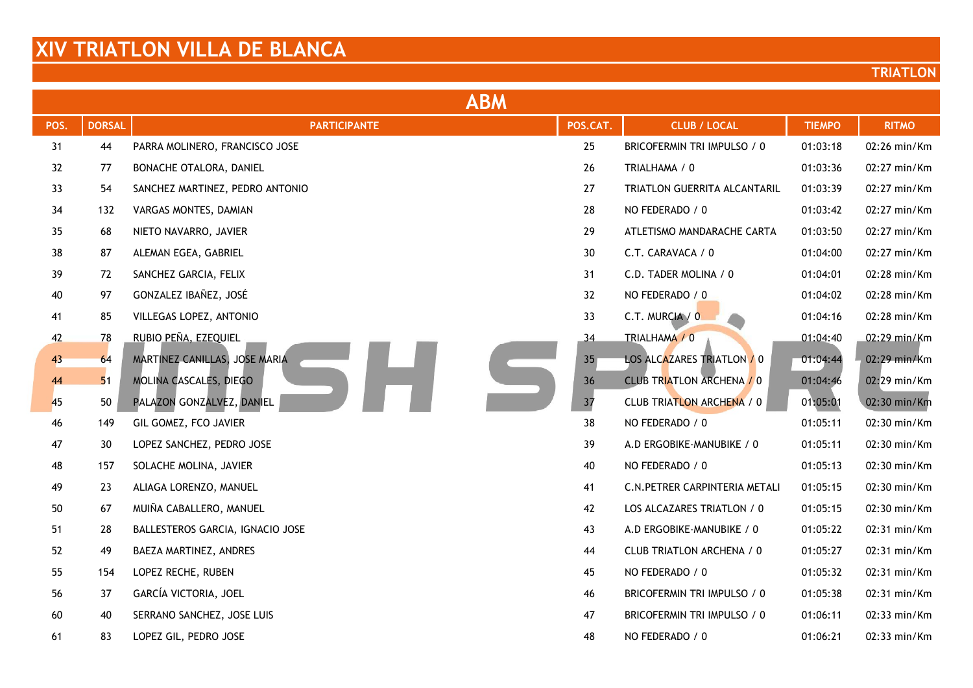|        | <b>ABM</b>    |                                  |                 |                                  |               |              |  |  |
|--------|---------------|----------------------------------|-----------------|----------------------------------|---------------|--------------|--|--|
| POS.   | <b>DORSAL</b> | <b>PARTICIPANTE</b>              | POS.CAT.        | <b>CLUB / LOCAL</b>              | <b>TIEMPO</b> | <b>RITMO</b> |  |  |
| 31     | 44            | PARRA MOLINERO, FRANCISCO JOSE   | 25              | BRICOFERMIN TRI IMPULSO / 0      | 01:03:18      | 02:26 min/Km |  |  |
| 32     | 77            | BONACHE OTALORA, DANIEL          | 26              | TRIALHAMA / 0                    | 01:03:36      | 02:27 min/Km |  |  |
| 33     | 54            | SANCHEZ MARTINEZ, PEDRO ANTONIO  | 27              | TRIATLON GUERRITA ALCANTARIL     | 01:03:39      | 02:27 min/Km |  |  |
| 34     | 132           | VARGAS MONTES, DAMIAN            | 28              | NO FEDERADO / 0                  | 01:03:42      | 02:27 min/Km |  |  |
| 35     | 68            | NIETO NAVARRO, JAVIER            | 29              | ATLETISMO MANDARACHE CARTA       | 01:03:50      | 02:27 min/Km |  |  |
| 38     | 87            | ALEMAN EGEA, GABRIEL             | 30              | C.T. CARAVACA / 0                | 01:04:00      | 02:27 min/Km |  |  |
| 39     | 72            | SANCHEZ GARCIA, FELIX            | 31              | C.D. TADER MOLINA / 0            | 01:04:01      | 02:28 min/Km |  |  |
| 40     | 97            | GONZALEZ IBAÑEZ, JOSÉ            | 32              | NO FEDERADO / 0                  | 01:04:02      | 02:28 min/Km |  |  |
| 41     | 85            | VILLEGAS LOPEZ, ANTONIO          | 33              | C.T. MURCIA / 0                  | 01:04:16      | 02:28 min/Km |  |  |
| 42     | 78            | RUBIO PEÑA, EZEQUIEL             | 34              | TRIALHAMA / 0                    | 01:04:40      | 02:29 min/Km |  |  |
| 43     | 64            | MARTINEZ CANILLAS, JOSE MARIA    | 35 <sub>1</sub> | LOS ALCAZARES TRIATLON / 0       | 01:04:44      | 02:29 min/Km |  |  |
| 44     | 51            | MOLINA CASCALES, DIEGO           | 36              | <b>CLUB TRIATLON ARCHENA / 0</b> | 01:04:46      | 02:29 min/Km |  |  |
| 45     | 50            | PALAZON GONZALVEZ, DANIEL        | 37              | CLUB TRIATLON ARCHENA / 0        | 01:05:01      | 02:30 min/Km |  |  |
| 46     | 149           | GIL GOMEZ, FCO JAVIER            | 38              | NO FEDERADO / 0                  | 01:05:11      | 02:30 min/Km |  |  |
| 47     | 30            | LOPEZ SANCHEZ, PEDRO JOSE        | 39              | A.D ERGOBIKE-MANUBIKE / 0        | 01:05:11      | 02:30 min/Km |  |  |
| 48     | 157           | SOLACHE MOLINA, JAVIER           | 40              | NO FEDERADO / 0                  | 01:05:13      | 02:30 min/Km |  |  |
| 49     | 23            | ALIAGA LORENZO, MANUEL           | 41              | C.N. PETRER CARPINTERIA METALI   | 01:05:15      | 02:30 min/Km |  |  |
| $50\,$ | 67            | MUIÑA CABALLERO, MANUEL          | 42              | LOS ALCAZARES TRIATLON / 0       | 01:05:15      | 02:30 min/Km |  |  |
| 51     | 28            | BALLESTEROS GARCIA, IGNACIO JOSE | 43              | A.D ERGOBIKE-MANUBIKE / 0        | 01:05:22      | 02:31 min/Km |  |  |
| 52     | 49            | BAEZA MARTINEZ, ANDRES           | 44              | CLUB TRIATLON ARCHENA / 0        | 01:05:27      | 02:31 min/Km |  |  |
| 55     | 154           | LOPEZ RECHE, RUBEN               | 45              | NO FEDERADO / 0                  | 01:05:32      | 02:31 min/Km |  |  |
| 56     | 37            | GARCÍA VICTORIA, JOEL            | 46              | BRICOFERMIN TRI IMPULSO / 0      | 01:05:38      | 02:31 min/Km |  |  |
| 60     | 40            | SERRANO SANCHEZ, JOSE LUIS       | 47              | BRICOFERMIN TRI IMPULSO / 0      | 01:06:11      | 02:33 min/Km |  |  |
| 61     | 83            | LOPEZ GIL, PEDRO JOSE            | 48              | NO FEDERADO / 0                  | 01:06:21      | 02:33 min/Km |  |  |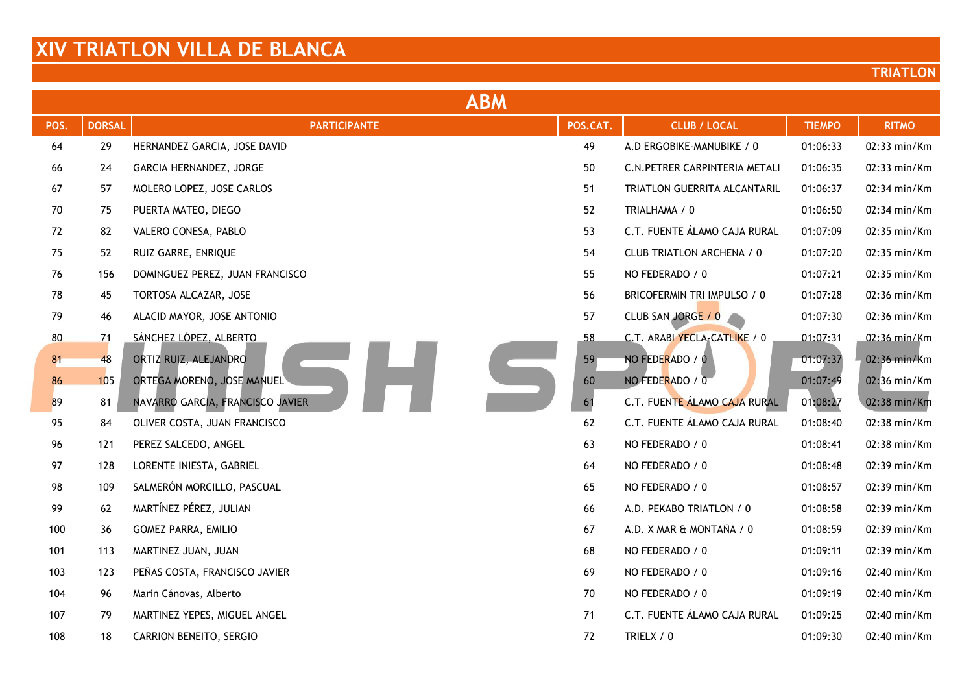|      | <b>ABM</b>    |                                  |          |                                |               |              |  |  |
|------|---------------|----------------------------------|----------|--------------------------------|---------------|--------------|--|--|
| POS. | <b>DORSAL</b> | <b>PARTICIPANTE</b>              | POS.CAT. | <b>CLUB / LOCAL</b>            | <b>TIEMPO</b> | <b>RITMO</b> |  |  |
| 64   | 29            | HERNANDEZ GARCIA, JOSE DAVID     | 49       | A.D ERGOBIKE-MANUBIKE / 0      | 01:06:33      | 02:33 min/Km |  |  |
| 66   | 24            | GARCIA HERNANDEZ, JORGE          | 50       | C.N. PETRER CARPINTERIA METALI | 01:06:35      | 02:33 min/Km |  |  |
| 67   | 57            | MOLERO LOPEZ, JOSE CARLOS        | 51       | TRIATLON GUERRITA ALCANTARIL   | 01:06:37      | 02:34 min/Km |  |  |
| 70   | 75            | PUERTA MATEO, DIEGO              | 52       | TRIALHAMA / 0                  | 01:06:50      | 02:34 min/Km |  |  |
| 72   | 82            | VALERO CONESA, PABLO             | 53       | C.T. FUENTE ÁLAMO CAJA RURAL   | 01:07:09      | 02:35 min/Km |  |  |
| 75   | 52            | RUIZ GARRE, ENRIQUE              | 54       | CLUB TRIATLON ARCHENA / 0      | 01:07:20      | 02:35 min/Km |  |  |
| 76   | 156           | DOMINGUEZ PEREZ, JUAN FRANCISCO  | 55       | NO FEDERADO / 0                | 01:07:21      | 02:35 min/Km |  |  |
| 78   | 45            | TORTOSA ALCAZAR, JOSE            | 56       | BRICOFERMIN TRI IMPULSO / 0    | 01:07:28      | 02:36 min/Km |  |  |
| 79   | 46            | ALACID MAYOR, JOSE ANTONIO       | 57       | CLUB SAN JORGE / 0             | 01:07:30      | 02:36 min/Km |  |  |
| 80   | 71            | SÁNCHEZ LÓPEZ, ALBERTO           | 58       | C.T. ARABI YECLA-CATLIKE / 0   | 01:07:31      | 02:36 min/Km |  |  |
| 81   | 48            | ORTIZ RUIZ, ALEJANDRO            | 59       | NO FEDERADO / 0                | 01:07:37      | 02:36 min/Km |  |  |
| 86   | 105           | ORTEGA MORENO, JOSE MANUEL       | 60       | NO FEDERADO / 0                | 01:07:49      | 02:36 min/Km |  |  |
| 89   | 81            | NAVARRO GARCIA, FRANCISCO JAVIER | 61       | C.T. FUENTE ÁLAMO CAJA RURAL   | 01:08:27      | 02:38 min/Km |  |  |
| 95   | 84            | OLIVER COSTA, JUAN FRANCISCO     | 62       | C.T. FUENTE ÁLAMO CAJA RURAL   | 01:08:40      | 02:38 min/Km |  |  |
| 96   | 121           | PEREZ SALCEDO, ANGEL             | 63       | NO FEDERADO / 0                | 01:08:41      | 02:38 min/Km |  |  |
| 97   | 128           | LORENTE INIESTA, GABRIEL         | 64       | NO FEDERADO / 0                | 01:08:48      | 02:39 min/Km |  |  |
| 98   | 109           | SALMERÓN MORCILLO, PASCUAL       | 65       | NO FEDERADO / 0                | 01:08:57      | 02:39 min/Km |  |  |
| 99   | 62            | MARTÍNEZ PÉREZ, JULIAN           | 66       | A.D. PEKABO TRIATLON / 0       | 01:08:58      | 02:39 min/Km |  |  |
| 100  | 36            | <b>GOMEZ PARRA, EMILIO</b>       | 67       | A.D. X MAR & MONTAÑA / 0       | 01:08:59      | 02:39 min/Km |  |  |
| 101  | 113           | MARTINEZ JUAN, JUAN              | 68       | NO FEDERADO / 0                | 01:09:11      | 02:39 min/Km |  |  |
| 103  | 123           | PEÑAS COSTA, FRANCISCO JAVIER    | 69       | NO FEDERADO / 0                | 01:09:16      | 02:40 min/Km |  |  |
| 104  | 96            | Marín Cánovas, Alberto           | 70       | NO FEDERADO / 0                | 01:09:19      | 02:40 min/Km |  |  |
| 107  | 79            | MARTINEZ YEPES, MIGUEL ANGEL     | 71       | C.T. FUENTE ÁLAMO CAJA RURAL   | 01:09:25      | 02:40 min/Km |  |  |
| 108  | 18            | CARRION BENEITO, SERGIO          | 72       | TRIELX / 0                     | 01:09:30      | 02:40 min/Km |  |  |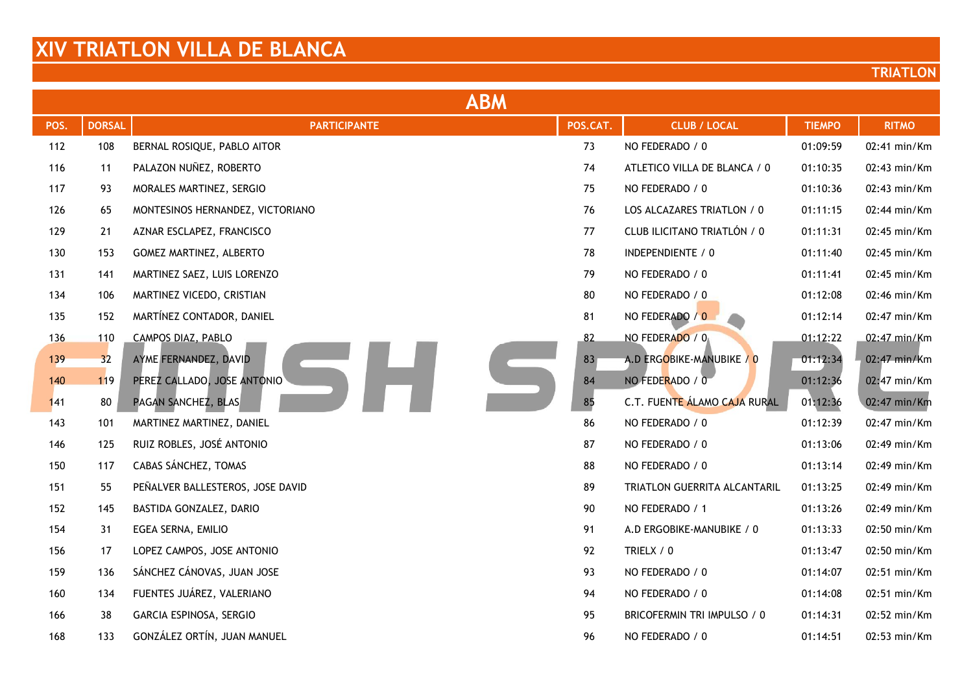|      | <b>ABM</b>    |                                  |          |                              |               |              |  |  |
|------|---------------|----------------------------------|----------|------------------------------|---------------|--------------|--|--|
| POS. | <b>DORSAL</b> | <b>PARTICIPANTE</b>              | POS.CAT. | <b>CLUB / LOCAL</b>          | <b>TIEMPO</b> | <b>RITMO</b> |  |  |
| 112  | 108           | BERNAL ROSIQUE, PABLO AITOR      | 73       | NO FEDERADO / 0              | 01:09:59      | 02:41 min/Km |  |  |
| 116  | 11            | PALAZON NUÑEZ, ROBERTO           | 74       | ATLETICO VILLA DE BLANCA / 0 | 01:10:35      | 02:43 min/Km |  |  |
| 117  | 93            | MORALES MARTINEZ, SERGIO         | 75       | NO FEDERADO / 0              | 01:10:36      | 02:43 min/Km |  |  |
| 126  | 65            | MONTESINOS HERNANDEZ, VICTORIANO | 76       | LOS ALCAZARES TRIATLON / 0   | 01:11:15      | 02:44 min/Km |  |  |
| 129  | 21            | AZNAR ESCLAPEZ, FRANCISCO        | 77       | CLUB ILICITANO TRIATLÓN / 0  | 01:11:31      | 02:45 min/Km |  |  |
| 130  | 153           | GOMEZ MARTINEZ, ALBERTO          | 78       | INDEPENDIENTE / 0            | 01:11:40      | 02:45 min/Km |  |  |
| 131  | 141           | MARTINEZ SAEZ, LUIS LORENZO      | 79       | NO FEDERADO / 0              | 01:11:41      | 02:45 min/Km |  |  |
| 134  | 106           | MARTINEZ VICEDO, CRISTIAN        | 80       | NO FEDERADO / 0              | 01:12:08      | 02:46 min/Km |  |  |
| 135  | 152           | MARTÍNEZ CONTADOR, DANIEL        | 81       | NO FEDERADO / 0              | 01:12:14      | 02:47 min/Km |  |  |
| 136  | 110           | CAMPOS DIAZ, PABLO               | 82       | NO FEDERADO / 0              | 01:12:22      | 02:47 min/Km |  |  |
| 139  | 32            | AYME FERNANDEZ, DAVID            | 83       | A.D ERGOBIKE-MANUBIKE / 0    | 01:12:34      | 02:47 min/Km |  |  |
| 140  | 119           | PEREZ CALLADO, JOSE ANTONIO      | 84       | NO FEDERADO / 0              | 01:12:36      | 02:47 min/Km |  |  |
| 141  | 80            | PAGAN SANCHEZ, BLAS              | 85       | C.T. FUENTE ÁLAMO CAJA RURAL | 01:12:36      | 02:47 min/Km |  |  |
| 143  | 101           | MARTINEZ MARTINEZ, DANIEL        | 86       | NO FEDERADO / 0              | 01:12:39      | 02:47 min/Km |  |  |
| 146  | 125           | RUIZ ROBLES, JOSÉ ANTONIO        | 87       | NO FEDERADO / 0              | 01:13:06      | 02:49 min/Km |  |  |
| 150  | 117           | CABAS SÁNCHEZ, TOMAS             | 88       | NO FEDERADO / 0              | 01:13:14      | 02:49 min/Km |  |  |
| 151  | 55            | PEÑALVER BALLESTEROS, JOSE DAVID | 89       | TRIATLON GUERRITA ALCANTARIL | 01:13:25      | 02:49 min/Km |  |  |
| 152  | 145           | BASTIDA GONZALEZ, DARIO          | 90       | NO FEDERADO / 1              | 01:13:26      | 02:49 min/Km |  |  |
| 154  | 31            | EGEA SERNA, EMILIO               | 91       | A.D ERGOBIKE-MANUBIKE / 0    | 01:13:33      | 02:50 min/Km |  |  |
| 156  | 17            | LOPEZ CAMPOS, JOSE ANTONIO       | 92       | TRIELX / 0                   | 01:13:47      | 02:50 min/Km |  |  |
| 159  | 136           | SÁNCHEZ CÁNOVAS, JUAN JOSE       | 93       | NO FEDERADO / 0              | 01:14:07      | 02:51 min/Km |  |  |
| 160  | 134           | FUENTES JUÁREZ, VALERIANO        | 94       | NO FEDERADO / 0              | 01:14:08      | 02:51 min/Km |  |  |
| 166  | 38            | GARCIA ESPINOSA, SERGIO          | 95       | BRICOFERMIN TRI IMPULSO / 0  | 01:14:31      | 02:52 min/Km |  |  |
| 168  | 133           | GONZÁLEZ ORTÍN, JUAN MANUEL      | 96       | NO FEDERADO / 0              | 01:14:51      | 02:53 min/Km |  |  |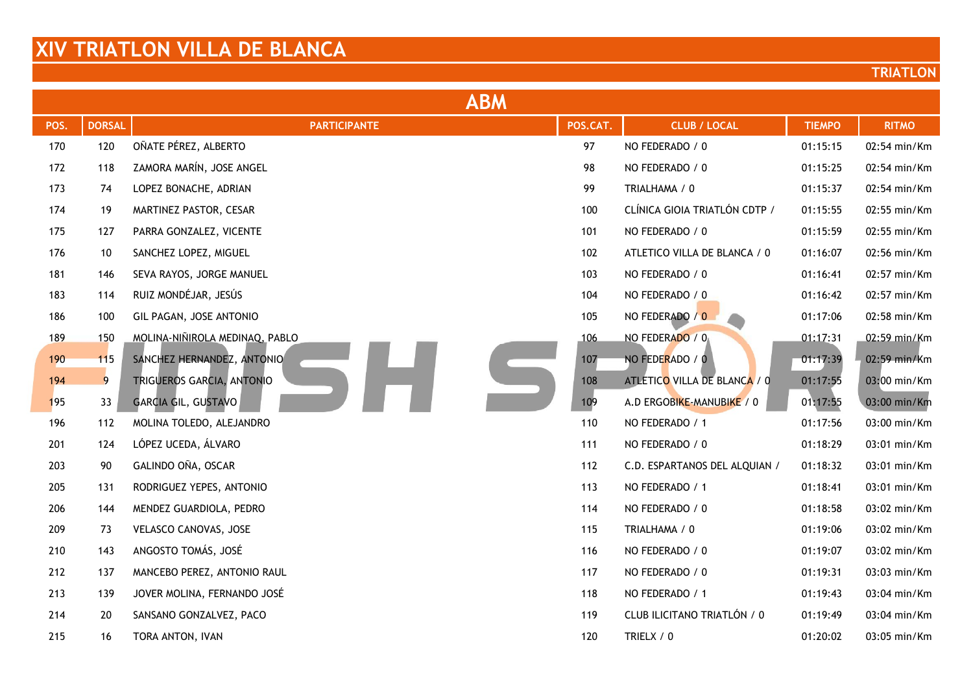| <b>ABM</b> |               |                                |          |                               |               |              |  |
|------------|---------------|--------------------------------|----------|-------------------------------|---------------|--------------|--|
| POS.       | <b>DORSAL</b> | <b>PARTICIPANTE</b>            | POS.CAT. | <b>CLUB / LOCAL</b>           | <b>TIEMPO</b> | <b>RITMO</b> |  |
| 170        | 120           | OÑATE PÉREZ, ALBERTO           | 97       | NO FEDERADO / 0               | 01:15:15      | 02:54 min/Km |  |
| 172        | 118           | ZAMORA MARÍN, JOSE ANGEL       | 98       | NO FEDERADO / 0               | 01:15:25      | 02:54 min/Km |  |
| 173        | 74            | LOPEZ BONACHE, ADRIAN          | 99       | TRIALHAMA / 0                 | 01:15:37      | 02:54 min/Km |  |
| 174        | 19            | MARTINEZ PASTOR, CESAR         | 100      | CLÍNICA GIOIA TRIATLÓN CDTP / | 01:15:55      | 02:55 min/Km |  |
| 175        | 127           | PARRA GONZALEZ, VICENTE        | 101      | NO FEDERADO / 0               | 01:15:59      | 02:55 min/Km |  |
| 176        | 10            | SANCHEZ LOPEZ, MIGUEL          | 102      | ATLETICO VILLA DE BLANCA / 0  | 01:16:07      | 02:56 min/Km |  |
| 181        | 146           | SEVA RAYOS, JORGE MANUEL       | 103      | NO FEDERADO / 0               | 01:16:41      | 02:57 min/Km |  |
| 183        | 114           | RUIZ MONDÉJAR, JESÚS           | 104      | NO FEDERADO / 0               | 01:16:42      | 02:57 min/Km |  |
| 186        | 100           | GIL PAGAN, JOSE ANTONIO        | 105      | NO FEDERADO / 0               | 01:17:06      | 02:58 min/Km |  |
| 189        | 150           | MOLINA-NIÑIROLA MEDINAQ, PABLO | 106      | NO FEDERADO / 0               | 01:17:31      | 02:59 min/Km |  |
| 190        | 115           | SANCHEZ HERNANDEZ, ANTONIO     | 107      | NO FEDERADO / 0               | 01:17:39      | 02:59 min/Km |  |
| 194        | 9             | TRIGUEROS GARCIA, ANTONIO      | 108      | ATLETICO VILLA DE BLANCA / 0  | 01:17:55      | 03:00 min/Km |  |
| 195        | 33            | <b>GARCIA GIL, GUSTAVO</b>     | 109      | A.D ERGOBIKE-MANUBIKE / 0     | 01:17:55      | 03:00 min/Km |  |
| 196        | 112           | MOLINA TOLEDO, ALEJANDRO       | 110      | NO FEDERADO / 1               | 01:17:56      | 03:00 min/Km |  |
| 201        | 124           | LÓPEZ UCEDA, ÁLVARO            | 111      | NO FEDERADO / 0               | 01:18:29      | 03:01 min/Km |  |
| 203        | 90            | GALINDO OÑA, OSCAR             | 112      | C.D. ESPARTANOS DEL ALQUIAN / | 01:18:32      | 03:01 min/Km |  |
| 205        | 131           | RODRIGUEZ YEPES, ANTONIO       | 113      | NO FEDERADO / 1               | 01:18:41      | 03:01 min/Km |  |
| 206        | 144           | MENDEZ GUARDIOLA, PEDRO        | 114      | NO FEDERADO / 0               | 01:18:58      | 03:02 min/Km |  |
| 209        | 73            | VELASCO CANOVAS, JOSE          | 115      | TRIALHAMA / 0                 | 01:19:06      | 03:02 min/Km |  |
| 210        | 143           | ANGOSTO TOMÁS, JOSÉ            | 116      | NO FEDERADO / 0               | 01:19:07      | 03:02 min/Km |  |
| 212        | 137           | MANCEBO PEREZ, ANTONIO RAUL    | 117      | NO FEDERADO / 0               | 01:19:31      | 03:03 min/Km |  |
| 213        | 139           | JOVER MOLINA, FERNANDO JOSÉ    | 118      | NO FEDERADO / 1               | 01:19:43      | 03:04 min/Km |  |
| 214        | 20            | SANSANO GONZALVEZ, PACO        | 119      | CLUB ILICITANO TRIATLÓN / 0   | 01:19:49      | 03:04 min/Km |  |
| 215        | 16            | TORA ANTON, IVAN               | 120      | TRIELX / 0                    | 01:20:02      | 03:05 min/Km |  |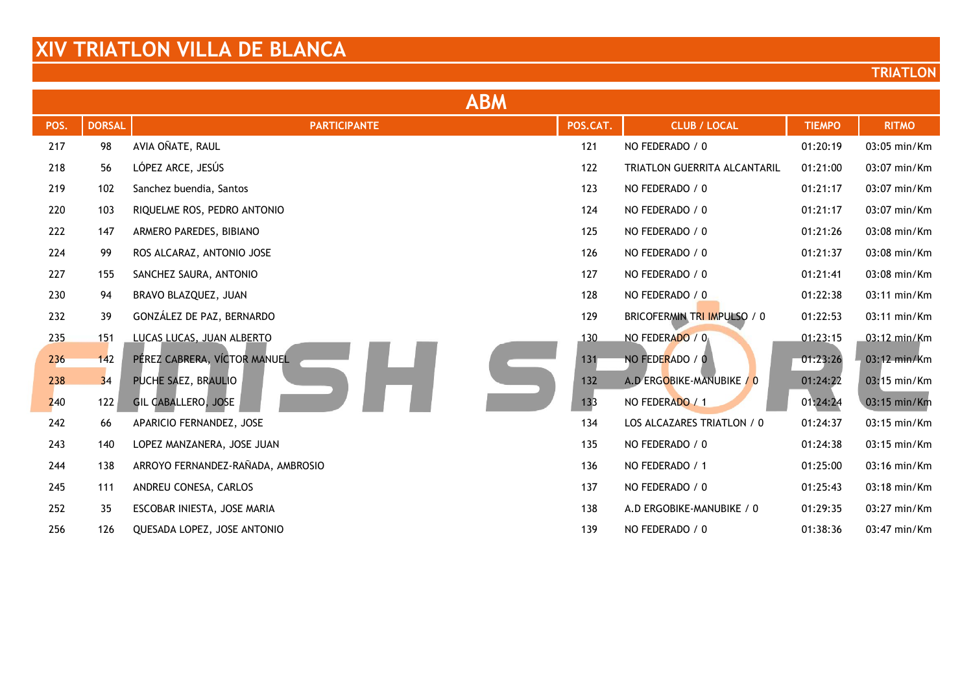| <b>ABM</b> |               |                                   |          |                                     |               |              |  |  |
|------------|---------------|-----------------------------------|----------|-------------------------------------|---------------|--------------|--|--|
| POS.       | <b>DORSAL</b> | <b>PARTICIPANTE</b>               | POS.CAT. | <b>CLUB / LOCAL</b>                 | <b>TIEMPO</b> | <b>RITMO</b> |  |  |
| 217        | 98            | AVIA OÑATE, RAUL                  | 121      | NO FEDERADO / 0                     | 01:20:19      | 03:05 min/Km |  |  |
| 218        | 56            | LÓPEZ ARCE, JESÚS                 | 122      | <b>TRIATLON GUERRITA ALCANTARIL</b> | 01:21:00      | 03:07 min/Km |  |  |
| 219        | 102           | Sanchez buendia, Santos           | 123      | NO FEDERADO / 0                     | 01:21:17      | 03:07 min/Km |  |  |
| 220        | 103           | RIQUELME ROS, PEDRO ANTONIO       | 124      | NO FEDERADO / 0                     | 01:21:17      | 03:07 min/Km |  |  |
| 222        | 147           | ARMERO PAREDES, BIBIANO           | 125      | NO FEDERADO / 0                     | 01:21:26      | 03:08 min/Km |  |  |
| 224        | 99            | ROS ALCARAZ, ANTONIO JOSE         | 126      | NO FEDERADO / 0                     | 01:21:37      | 03:08 min/Km |  |  |
| 227        | 155           | SANCHEZ SAURA, ANTONIO            | 127      | NO FEDERADO / 0                     | 01:21:41      | 03:08 min/Km |  |  |
| 230        | 94            | BRAVO BLAZQUEZ, JUAN              | 128      | NO FEDERADO / 0                     | 01:22:38      | 03:11 min/Km |  |  |
| 232        | 39            | GONZÁLEZ DE PAZ, BERNARDO         | 129      | BRICOFERMIN TRI IMPULSO / 0         | 01:22:53      | 03:11 min/Km |  |  |
| 235        | 151           | LUCAS LUCAS, JUAN ALBERTO         | 130      | NO FEDERADO / 0                     | 01:23:15      | 03:12 min/Km |  |  |
| 236        | 142           | PÉREZ CABRERA, VÍCTOR MANUEL      | 131      | NO FEDERADO / 0                     | 01:23:26      | 03:12 min/Km |  |  |
| 238        | 34            | PUCHE SAEZ, BRAULIO               | 132      | A.D ERGOBIKE-MANUBIKE / 0           | 01:24:22      | 03:15 min/Km |  |  |
| 240        | 122           | <b>GIL CABALLERO, JOSE</b>        | 133      | NO FEDERADO / 1                     | 01:24:24      | 03:15 min/Km |  |  |
| 242        | 66            | APARICIO FERNANDEZ, JOSE          | 134      | LOS ALCAZARES TRIATLON / 0          | 01:24:37      | 03:15 min/Km |  |  |
| 243        | 140           | LOPEZ MANZANERA, JOSE JUAN        | 135      | NO FEDERADO / 0                     | 01:24:38      | 03:15 min/Km |  |  |
| 244        | 138           | ARROYO FERNANDEZ-RAÑADA, AMBROSIO | 136      | NO FEDERADO / 1                     | 01:25:00      | 03:16 min/Km |  |  |
| 245        | 111           | ANDREU CONESA, CARLOS             | 137      | NO FEDERADO / 0                     | 01:25:43      | 03:18 min/Km |  |  |
| 252        | 35            | ESCOBAR INIESTA, JOSE MARIA       | 138      | A.D ERGOBIKE-MANUBIKE / 0           | 01:29:35      | 03:27 min/Km |  |  |
| 256        | 126           | QUESADA LOPEZ, JOSE ANTONIO       | 139      | NO FEDERADO / 0                     | 01:38:36      | 03:47 min/Km |  |  |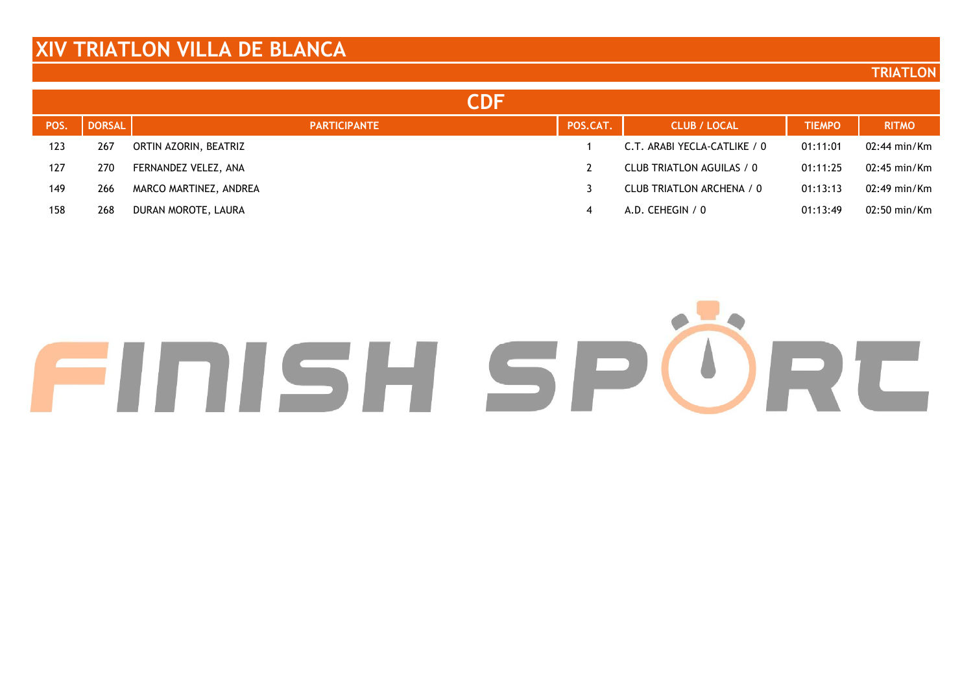#### **TRIATLON**

|      |               | CDF                    |          |                              |               |                        |
|------|---------------|------------------------|----------|------------------------------|---------------|------------------------|
| POS. | <b>DORSAL</b> | <b>PARTICIPANTE</b>    | POS.CAT. | <b>CLUB / LOCAL</b>          | <b>TIEMPO</b> | <b>RITMO</b>           |
| 123  | 267           | ORTIN AZORIN, BEATRIZ  |          | C.T. ARABI YECLA-CATLIKE / 0 | 01:11:01      | $02:44 \text{ min/Km}$ |
| 127  | 270           | FERNANDEZ VELEZ, ANA   |          | CLUB TRIATLON AGUILAS / 0    | 01:11:25      | $02:45$ min/Km         |
| 149  | 266           | MARCO MARTINEZ, ANDREA |          | CLUB TRIATLON ARCHENA / 0    | 01:13:13      | $02:49$ min/Km         |
| 158  | 268           | DURAN MOROTE, LAURA    | 4        | A.D. CEHEGIN / 0             | 01:13:49      | $02:50 \text{ min/Km}$ |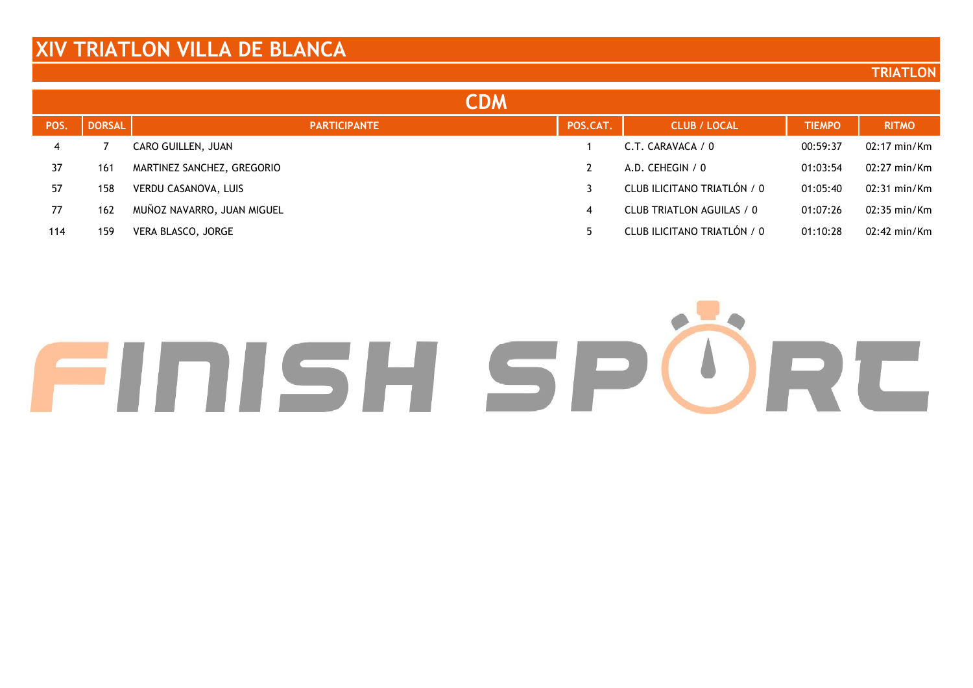#### **TRIATLON**

|      |               | CDM                        |          |                             |               |                        |
|------|---------------|----------------------------|----------|-----------------------------|---------------|------------------------|
| POS. | <b>DORSAL</b> | <b>PARTICIPANTE</b>        | POS.CAT. | <b>CLUB / LOCAL</b>         | <b>TIEMPO</b> | <b>RITMO</b>           |
| 4    |               | CARO GUILLEN, JUAN         |          | C.T. CARAVACA / 0           | 00:59:37      | $02:17 \text{ min/Km}$ |
| 37   | 161           | MARTINEZ SANCHEZ, GREGORIO |          | A.D. CEHEGIN / $0$          | 01:03:54      | $02:27 \text{ min/Km}$ |
| 57   | 158           | VERDU CASANOVA, LUIS       |          | CLUB ILICITANO TRIATLÓN / 0 | 01:05:40      | $02:31 \text{ min/Km}$ |
| 77   | 162           | MUÑOZ NAVARRO, JUAN MIGUEL | 4        | CLUB TRIATLON AGUILAS / 0   | 01:07:26      | $02:35 \text{ min/Km}$ |
| 114  | 159           | VERA BLASCO, JORGE         |          | CLUB ILICITANO TRIATLÓN / 0 | 01:10:28      | $02:42 \text{ min/Km}$ |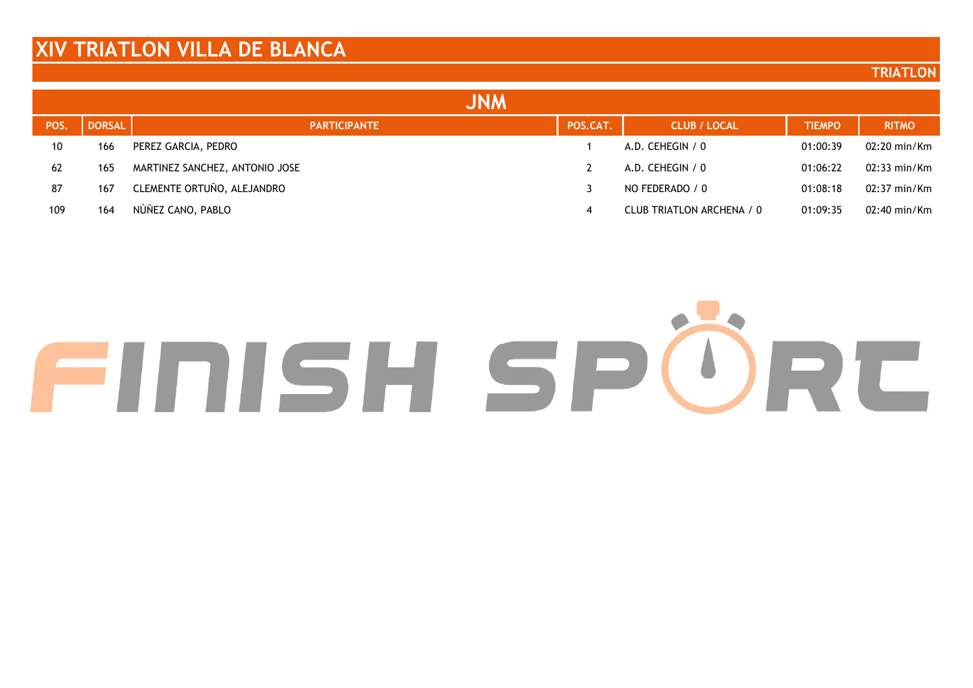#### **TRIATLON**

|      |               | <b>JNM</b>                     |          |                           |               |                        |
|------|---------------|--------------------------------|----------|---------------------------|---------------|------------------------|
| POS. | <b>DORSAL</b> | <b>PARTICIPANTE</b>            | POS.CAT. | <b>CLUB / LOCAL</b>       | <b>TIEMPO</b> | <b>RITMO</b>           |
| 10   | 166           | PEREZ GARCIA, PEDRO            |          | A.D. CEHEGIN / 0          | 01:00:39      | $02:20 \text{ min/Km}$ |
| 62   | 165           | MARTINEZ SANCHEZ, ANTONIO JOSE |          | A.D. CEHEGIN / 0          | 01:06:22      | $02:33 \text{ min/Km}$ |
| 87   | 167           | CLEMENTE ORTUÑO, ALEJANDRO     |          | NO FEDERADO / 0           | 01:08:18      | 02:37 min/Km           |
| 109  | 164           | NÚÑEZ CANO, PABLO              | 4        | CLUB TRIATLON ARCHENA / 0 | 01:09:35      | $02:40 \text{ min/Km}$ |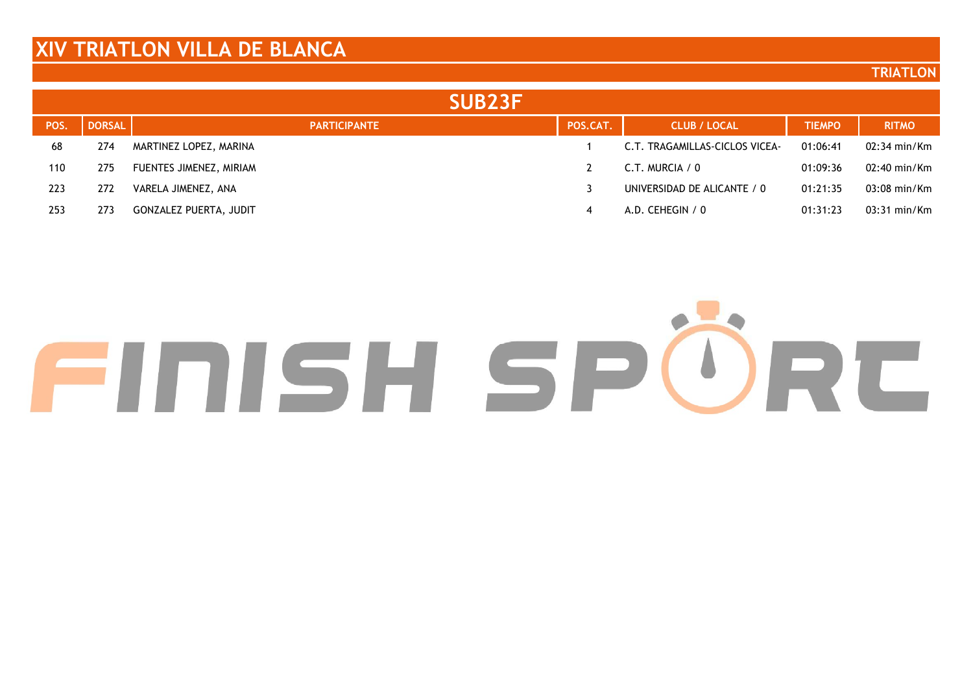#### **TRIATLON**

|      |               | SUB <sub>23</sub> F           |          |                                |               |                        |
|------|---------------|-------------------------------|----------|--------------------------------|---------------|------------------------|
| POS. | <b>DORSAL</b> | <b>PARTICIPANTE</b>           | POS.CAT. | <b>CLUB / LOCAL</b>            | <b>TIEMPO</b> | <b>RITMO</b>           |
| 68   | 274           | MARTINEZ LOPEZ, MARINA        |          | C.T. TRAGAMILLAS-CICLOS VICEA- | 01:06:41      | $02:34 \text{ min/Km}$ |
| 110  | 275           | FUENTES JIMENEZ, MIRIAM       |          | C.T. MURCIA / 0                | 01:09:36      | 02:40 min/Km           |
| 223  | 272           | VARELA JIMENEZ, ANA           |          | UNIVERSIDAD DE ALICANTE / 0    | 01:21:35      | $03:08 \text{ min/Km}$ |
| 253  | 273           | <b>GONZALEZ PUERTA, JUDIT</b> | 4        | A.D. CEHEGIN / 0               | 01:31:23      | $03:31 \text{ min/Km}$ |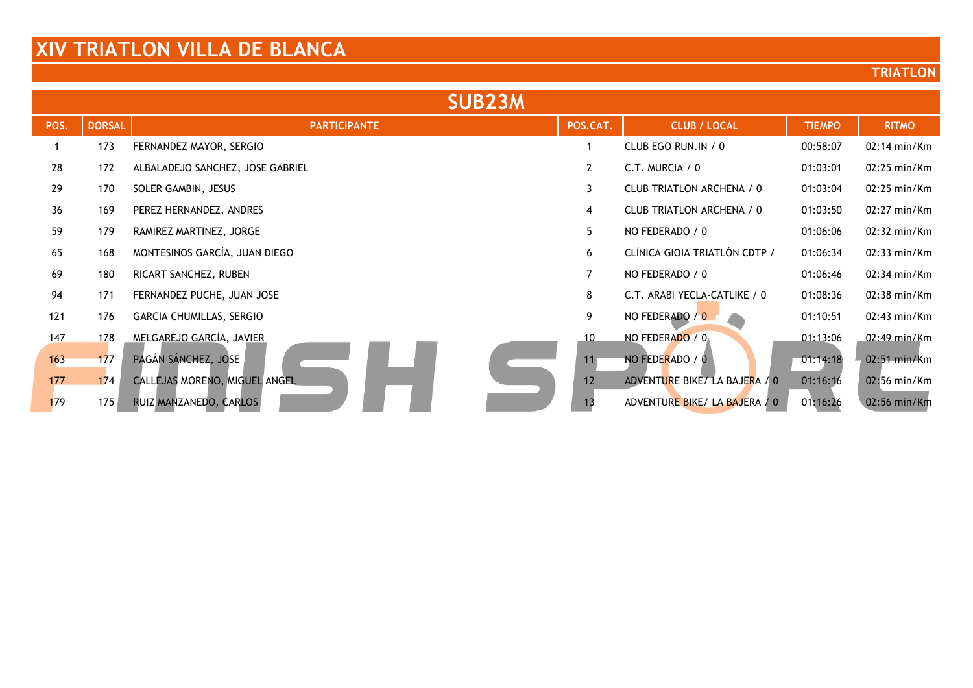| <b>SUB23M</b> |               |                                  |                   |                               |               |                        |  |
|---------------|---------------|----------------------------------|-------------------|-------------------------------|---------------|------------------------|--|
| POS.          | <b>DORSAL</b> | <b>PARTICIPANTE</b>              | POS.CAT.          | <b>CLUB / LOCAL</b>           | <b>TIEMPO</b> | <b>RITMO</b>           |  |
|               | 173           | FERNANDEZ MAYOR, SERGIO          |                   | CLUB EGO RUN.IN / 0           | 00:58:07      | $02:14 \text{ min/Km}$ |  |
| 28            | 172           | ALBALADEJO SANCHEZ, JOSE GABRIEL | $\mathbf{2}$      | C.T. MURCIA $/ 0$             | 01:03:01      | $02:25$ min/ $Km$      |  |
| 29            | 170           | SOLER GAMBIN, JESUS              | 3                 | CLUB TRIATLON ARCHENA / 0     | 01:03:04      | $02:25$ min/ $Km$      |  |
| 36            | 169           | PEREZ HERNANDEZ, ANDRES          | 4                 | CLUB TRIATLON ARCHENA / 0     | 01:03:50      | 02:27 min/Km           |  |
| 59            | 179           | RAMIREZ MARTINEZ, JORGE          | 5                 | NO FEDERADO / 0               | 01:06:06      | 02:32 min/Km           |  |
| 65            | 168           | MONTESINOS GARCÍA, JUAN DIEGO    | 6                 | CLÍNICA GIOIA TRIATLÓN CDTP / | 01:06:34      | 02:33 min/Km           |  |
| 69            | 180           | RICART SANCHEZ, RUBEN            | $\overline{7}$    | NO FEDERADO / 0               | 01:06:46      | $02:34 \text{ min/Km}$ |  |
| 94            | 171           | FERNANDEZ PUCHE, JUAN JOSE       | 8                 | C.T. ARABI YECLA-CATLIKE / 0  | 01:08:36      | $02:38$ min/ $Km$      |  |
| 121           | 176           | GARCIA CHUMILLAS, SERGIO         | 9                 | NO FEDERADO / 0               | 01:10:51      | $02:43$ min/Km         |  |
| 147           | 178           | MELGAREJO GARCÍA, JAVIER         | 10                | NO FEDERADO / 0               | 01:13:06      | $02:49$ min/Km         |  |
| 163           | 177           | PAGÁN SÁNCHEZ, JOSE              |                   | NO FEDERADO / 0               | 01:14:18      | 02:51 min/Km           |  |
| 177           | 174           | CALLEJAS MORENO, MIGUEL ANGEL    | $12 \overline{ }$ | ADVENTURE BIKE/LA BAJERA / 0  | 01:16:16      | 02:56 min/Km           |  |
| 179           | 175           | RUIZ MANZANEDO, CARLOS           |                   | ADVENTURE BIKE/ LA BAJERA / 0 | 01:16:26      | 02:56 min/Km           |  |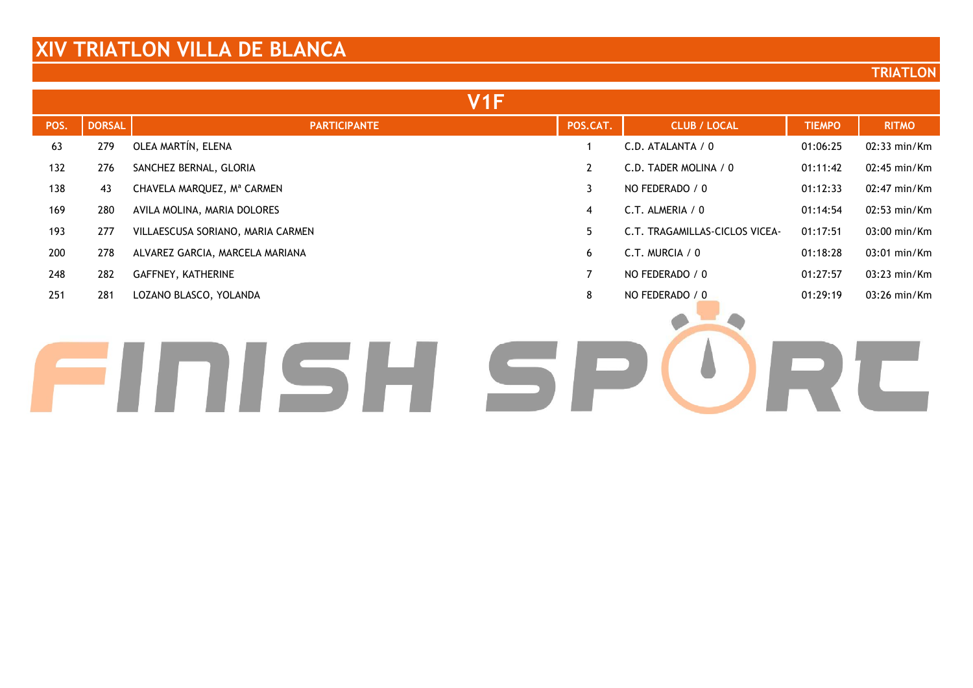#### **TRIATLON**

|      |               | V <sub>1</sub> F                  |                |                                |               |                   |
|------|---------------|-----------------------------------|----------------|--------------------------------|---------------|-------------------|
| POS. | <b>DORSAL</b> | <b>PARTICIPANTE</b>               | POS.CAT.       | <b>CLUB / LOCAL</b>            | <b>TIEMPO</b> | <b>RITMO</b>      |
| 63   | 279           | OLEA MARTÍN, ELENA                |                | C.D. ATALANTA / 0              | 01:06:25      | 02:33 min/Km      |
| 132  | 276           | SANCHEZ BERNAL, GLORIA            | $\mathbf{2}$   | C.D. TADER MOLINA / 0          | 01:11:42      | $02:45$ min/Km    |
| 138  | 43            | CHAVELA MARQUEZ, Mª CARMEN        | $\mathbf{3}$   | NO FEDERADO / 0                | 01:12:33      | $02:47$ min/Km    |
| 169  | 280           | AVILA MOLINA, MARIA DOLORES       | 4              | C.T. ALMERIA / 0               | 01:14:54      | $02:53$ min/Km    |
| 193  | 277           | VILLAESCUSA SORIANO, MARIA CARMEN | 5              | C.T. TRAGAMILLAS-CICLOS VICEA- | 01:17:51      | $03:00$ min/ $Km$ |
| 200  | 278           | ALVAREZ GARCIA, MARCELA MARIANA   | 6              | $C.T.$ MURCIA / 0              | 01:18:28      | $03:01$ min/ $Km$ |
| 248  | 282           | GAFFNEY, KATHERINE                | $\overline{7}$ | NO FEDERADO / 0                | 01:27:57      | $03:23$ min/ $Km$ |
| 251  | 281           | LOZANO BLASCO, YOLANDA            | 8              | NO FEDERADO / 0                | 01:29:19      | $03:26$ min/ $Km$ |
|      |               |                                   |                |                                |               |                   |

# FINISH SPURC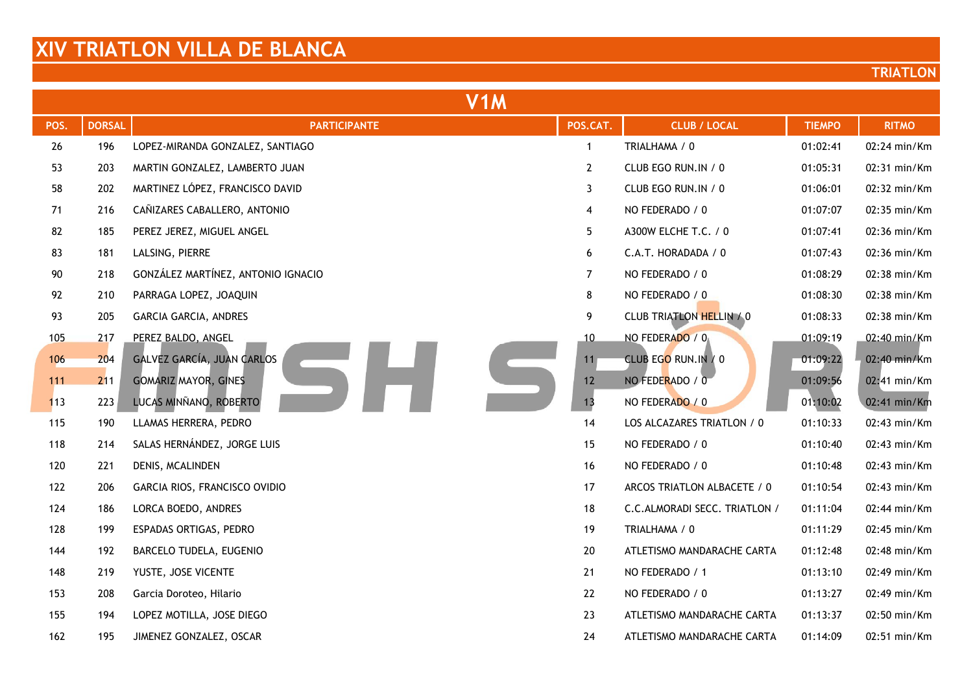| V <sub>1</sub> M |               |                                    |                 |                                 |               |              |
|------------------|---------------|------------------------------------|-----------------|---------------------------------|---------------|--------------|
| POS.             | <b>DORSAL</b> | <b>PARTICIPANTE</b>                | POS.CAT.        | <b>CLUB / LOCAL</b>             | <b>TIEMPO</b> | <b>RITMO</b> |
| 26               | 196           | LOPEZ-MIRANDA GONZALEZ, SANTIAGO   | $\mathbf{1}$    | TRIALHAMA / 0                   | 01:02:41      | 02:24 min/Km |
| 53               | 203           | MARTIN GONZALEZ, LAMBERTO JUAN     | $\overline{2}$  | CLUB EGO RUN.IN / 0             | 01:05:31      | 02:31 min/Km |
| 58               | 202           | MARTINEZ LÓPEZ, FRANCISCO DAVID    | 3               | CLUB EGO RUN.IN / 0             | 01:06:01      | 02:32 min/Km |
| 71               | 216           | CAÑIZARES CABALLERO, ANTONIO       | 4               | NO FEDERADO / 0                 | 01:07:07      | 02:35 min/Km |
| 82               | 185           | PEREZ JEREZ, MIGUEL ANGEL          | 5               | A300W ELCHE T.C. / 0            | 01:07:41      | 02:36 min/Km |
| 83               | 181           | LALSING, PIERRE                    | 6               | C.A.T. HORADADA / 0             | 01:07:43      | 02:36 min/Km |
| 90               | 218           | GONZÁLEZ MARTÍNEZ, ANTONIO IGNACIO | $\overline{7}$  | NO FEDERADO / 0                 | 01:08:29      | 02:38 min/Km |
| 92               | 210           | PARRAGA LOPEZ, JOAQUIN             | 8               | NO FEDERADO / 0                 | 01:08:30      | 02:38 min/Km |
| 93               | 205           | <b>GARCIA GARCIA, ANDRES</b>       | 9               | <b>CLUB TRIATLON HELLIN / 0</b> | 01:08:33      | 02:38 min/Km |
| 105              | 217           | PEREZ BALDO, ANGEL                 | 10              | NO FEDERADO / 0                 | 01:09:19      | 02:40 min/Km |
| 106              | 204           | GALVEZ GARCÍA, JUAN CARLOS         | 11 <sub>1</sub> | CLUB EGO RUN.IN / 0             | 01:09:22      | 02:40 min/Km |
| 111              | 211           | <b>GOMARIZ MAYOR, GINES</b>        | 12              | NO FEDERADO / 0                 | 01:09:56      | 02:41 min/Km |
| 113              | 223           | LUCAS MINÑANO, ROBERTO             | 13              | NO FEDERADO / 0                 | 01:10:02      | 02:41 min/Km |
| 115              | 190           | LLAMAS HERRERA, PEDRO              | 14              | LOS ALCAZARES TRIATLON / 0      | 01:10:33      | 02:43 min/Km |
| 118              | 214           | SALAS HERNÁNDEZ, JORGE LUIS        | 15              | NO FEDERADO / 0                 | 01:10:40      | 02:43 min/Km |
| 120              | 221           | DENIS, MCALINDEN                   | 16              | NO FEDERADO / 0                 | 01:10:48      | 02:43 min/Km |
| 122              | 206           | GARCIA RIOS, FRANCISCO OVIDIO      | 17              | ARCOS TRIATLON ALBACETE / 0     | 01:10:54      | 02:43 min/Km |
| 124              | 186           | LORCA BOEDO, ANDRES                | 18              | C.C.ALMORADI SECC. TRIATLON /   | 01:11:04      | 02:44 min/Km |
| 128              | 199           | ESPADAS ORTIGAS, PEDRO             | 19              | TRIALHAMA / 0                   | 01:11:29      | 02:45 min/Km |
| 144              | 192           | BARCELO TUDELA, EUGENIO            | 20              | ATLETISMO MANDARACHE CARTA      | 01:12:48      | 02:48 min/Km |
| 148              | 219           | YUSTE, JOSE VICENTE                | 21              | NO FEDERADO / 1                 | 01:13:10      | 02:49 min/Km |
| 153              | 208           | Garcia Doroteo, Hilario            | 22              | NO FEDERADO / 0                 | 01:13:27      | 02:49 min/Km |
| 155              | 194           | LOPEZ MOTILLA, JOSE DIEGO          | 23              | ATLETISMO MANDARACHE CARTA      | 01:13:37      | 02:50 min/Km |
| 162              | 195           | JIMENEZ GONZALEZ, OSCAR            | 24              | ATLETISMO MANDARACHE CARTA      | 01:14:09      | 02:51 min/Km |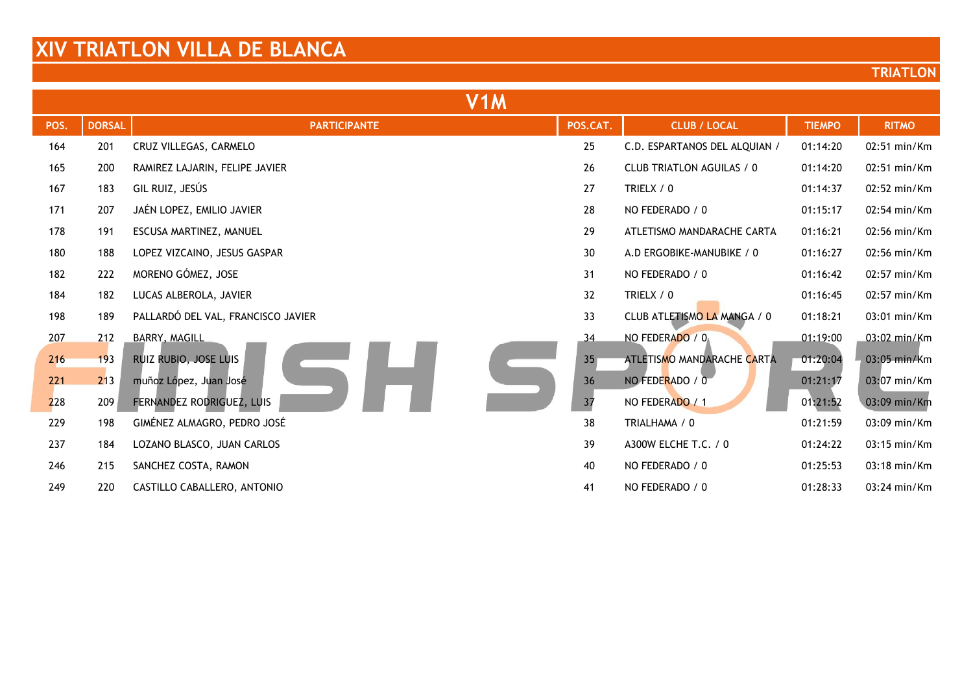| V <sub>1</sub> M |               |                                    |                 |                               |               |              |  |
|------------------|---------------|------------------------------------|-----------------|-------------------------------|---------------|--------------|--|
| POS.             | <b>DORSAL</b> | <b>PARTICIPANTE</b>                | POS.CAT.        | <b>CLUB / LOCAL</b>           | <b>TIEMPO</b> | <b>RITMO</b> |  |
| 164              | 201           | CRUZ VILLEGAS, CARMELO             | 25              | C.D. ESPARTANOS DEL ALQUIAN / | 01:14:20      | 02:51 min/Km |  |
| 165              | 200           | RAMIREZ LAJARIN, FELIPE JAVIER     | 26              | CLUB TRIATLON AGUILAS / 0     | 01:14:20      | 02:51 min/Km |  |
| 167              | 183           | GIL RUIZ, JESÚS                    | 27              | TRIELX / 0                    | 01:14:37      | 02:52 min/Km |  |
| 171              | 207           | JAÉN LOPEZ, EMILIO JAVIER          | 28              | NO FEDERADO / 0               | 01:15:17      | 02:54 min/Km |  |
| 178              | 191           | ESCUSA MARTINEZ, MANUEL            | 29              | ATLETISMO MANDARACHE CARTA    | 01:16:21      | 02:56 min/Km |  |
| 180              | 188           | LOPEZ VIZCAINO, JESUS GASPAR       | 30              | A.D ERGOBIKE-MANUBIKE / 0     | 01:16:27      | 02:56 min/Km |  |
| 182              | 222           | MORENO GÓMEZ, JOSE                 | 31              | NO FEDERADO / 0               | 01:16:42      | 02:57 min/Km |  |
| 184              | 182           | LUCAS ALBEROLA, JAVIER             | 32              | TRIELX / 0                    | 01:16:45      | 02:57 min/Km |  |
| 198              | 189           | PALLARDÓ DEL VAL, FRANCISCO JAVIER | 33              | CLUB ATLETISMO LA MANGA / 0   | 01:18:21      | 03:01 min/Km |  |
| 207              | 212           | BARRY, MAGILL                      | 34              | NO FEDERADO / 0               | 01:19:00      | 03:02 min/Km |  |
| 216              | 193           | RUIZ RUBIO, JOSE LUIS              | 35 <sub>1</sub> | ATLETISMO MANDARACHE CARTA    | 01:20:04      | 03:05 min/Km |  |
| 221              | 213           | muñoz López, Juan José             | 36              | NO FEDERADO / 0               | 01:21:17      | 03:07 min/Km |  |
| 228              | 209           | FERNANDEZ RODRIGUEZ, LUIS          | 37              | NO FEDERADO / 1               | 01:21:52      | 03:09 min/Km |  |
| 229              | 198           | GIMÉNEZ ALMAGRO, PEDRO JOSÉ        | 38              | TRIALHAMA / 0                 | 01:21:59      | 03:09 min/Km |  |
| 237              | 184           | LOZANO BLASCO, JUAN CARLOS         | 39              | A300W ELCHE T.C. / 0          | 01:24:22      | 03:15 min/Km |  |
| 246              | 215           | SANCHEZ COSTA, RAMON               | 40              | NO FEDERADO / 0               | 01:25:53      | 03:18 min/Km |  |
| 249              | 220           | CASTILLO CABALLERO, ANTONIO        | 41              | NO FEDERADO / 0               | 01:28:33      | 03:24 min/Km |  |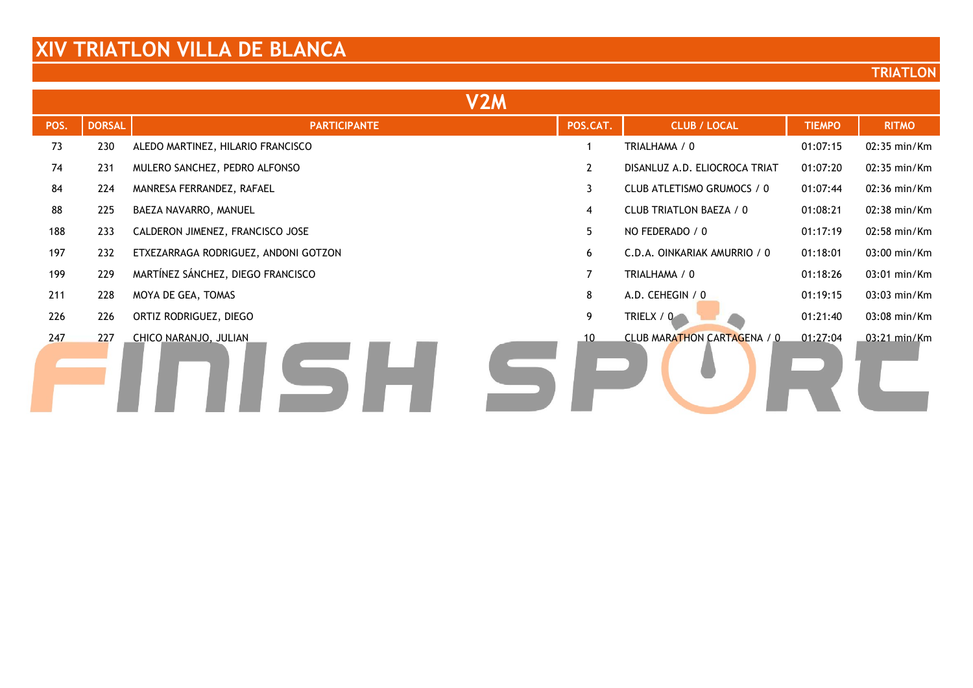| V <sub>2</sub> M |               |                                      |              |                                |               |              |  |
|------------------|---------------|--------------------------------------|--------------|--------------------------------|---------------|--------------|--|
| POS.             | <b>DORSAL</b> | <b>PARTICIPANTE</b>                  | POS.CAT.     | <b>CLUB / LOCAL</b>            | <b>TIEMPO</b> | <b>RITMO</b> |  |
| 73               | 230           | ALEDO MARTINEZ, HILARIO FRANCISCO    |              | TRIALHAMA / 0                  | 01:07:15      | 02:35 min/Km |  |
| 74               | 231           | MULERO SANCHEZ, PEDRO ALFONSO        | $\mathbf{2}$ | DISANLUZ A.D. ELIOCROCA TRIAT  | 01:07:20      | 02:35 min/Km |  |
| 84               | 224           | MANRESA FERRANDEZ, RAFAEL            | 3            | CLUB ATLETISMO GRUMOCS / 0     | 01:07:44      | 02:36 min/Km |  |
| 88               | 225           | BAEZA NAVARRO, MANUEL                | 4            | <b>CLUB TRIATLON BAEZA / 0</b> | 01:08:21      | 02:38 min/Km |  |
| 188              | 233           | CALDERON JIMENEZ, FRANCISCO JOSE     | 5            | NO FEDERADO / 0                | 01:17:19      | 02:58 min/Km |  |
| 197              | 232           | ETXEZARRAGA RODRIGUEZ, ANDONI GOTZON | 6            | C.D.A. OINKARIAK AMURRIO / 0   | 01:18:01      | 03:00 min/Km |  |
| 199              | 229           | MARTÍNEZ SÁNCHEZ, DIEGO FRANCISCO    |              | TRIALHAMA / 0                  | 01:18:26      | 03:01 min/Km |  |
| 211              | 228           | MOYA DE GEA, TOMAS                   | 8            | A.D. CEHEGIN / 0               | 01:19:15      | 03:03 min/Km |  |
| 226              | 226           | ORTIZ RODRIGUEZ, DIEGO               | 9            | TRIELX / 0                     | 01:21:40      | 03:08 min/Km |  |
| 247              | 227           | CHICO NARANJO, JULIAN                | 10           | CLUB MARATHON CARTAGENA / 0    | 01:27:04      | 03:21 min/Km |  |